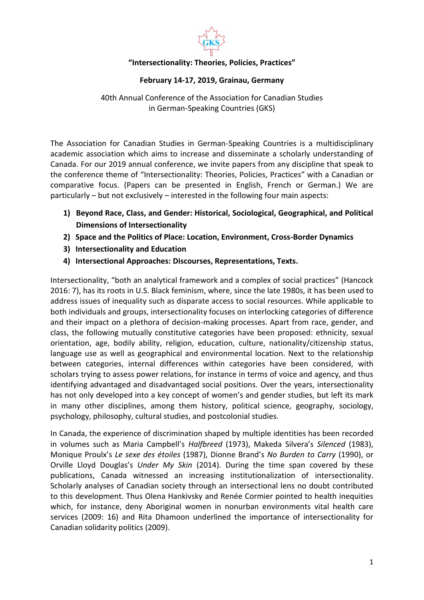

## **"Intersectionality: Theories, Policies, Practices"**

## **February 14-17, 2019, Grainau, Germany**

40th Annual Conference of the Association for Canadian Studies in German-Speaking Countries (GKS)

The Association for Canadian Studies in German-Speaking Countries is a multidisciplinary academic association which aims to increase and disseminate a scholarly understanding of Canada. For our 2019 annual conference, we invite papers from any discipline that speak to the conference theme of "Intersectionality: Theories, Policies, Practices" with a Canadian or comparative focus. (Papers can be presented in English, French or German.) We are particularly – but not exclusively – interested in the following four main aspects:

- **1) Beyond Race, Class, and Gender: Historical, Sociological, Geographical, and Political Dimensions of Intersectionality**
- **2) Space and the Politics of Place: Location, Environment, Cross-Border Dynamics**
- **3) Intersectionality and Education**
- **4) Intersectional Approaches: Discourses, Representations, Texts.**

Intersectionality, "both an analytical framework and a complex of social practices" (Hancock 2016: 7), has its roots in U.S. Black feminism, where, since the late 1980s, it has been used to address issues of inequality such as disparate access to social resources. While applicable to both individuals and groups, intersectionality focuses on interlocking categories of difference and their impact on a plethora of decision-making processes. Apart from race, gender, and class, the following mutually constitutive categories have been proposed: ethnicity, sexual orientation, age, bodily ability, religion, education, culture, nationality/citizenship status, language use as well as geographical and environmental location. Next to the relationship between categories, internal differences within categories have been considered, with scholars trying to assess power relations, for instance in terms of voice and agency, and thus identifying advantaged and disadvantaged social positions. Over the years, intersectionality has not only developed into a key concept of women's and gender studies, but left its mark in many other disciplines, among them history, political science, geography, sociology, psychology, philosophy, cultural studies, and postcolonial studies.

In Canada, the experience of discrimination shaped by multiple identities has been recorded in volumes such as Maria Campbell's *Halfbreed* (1973), Makeda Silvera's *Silenced* (1983), Monique Proulx's *Le sexe des étoiles* (1987), Dionne Brand's *No Burden to Carry* (1990), or Orville Lloyd Douglas's *Under My Skin* (2014). During the time span covered by these publications, Canada witnessed an increasing institutionalization of intersectionality. Scholarly analyses of Canadian society through an intersectional lens no doubt contributed to this development. Thus Olena Hankivsky and Renée Cormier pointed to health inequities which, for instance, deny Aboriginal women in nonurban environments vital health care services (2009: 16) and Rita Dhamoon underlined the importance of intersectionality for Canadian solidarity politics (2009).